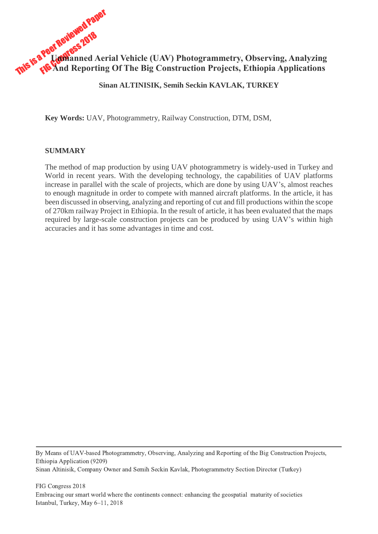

## **Sinan ALTINISIK, Semih Seckin KAVLAK, TURKEY**

**Key Words:** UAV, Photogrammetry, Railway Construction, DTM, DSM,

#### **SUMMARY**

The method of map production by using UAV photogrammetry is widely-used in Turkey and World in recent years. With the developing technology, the capabilities of UAV platforms increase in parallel with the scale of projects, which are done by using UAV's, almost reaches to enough magnitude in order to compete with manned aircraft platforms. In the article, it has been discussed in observing, analyzing and reporting of cut and fill productions within the scope of 270km railway Project in Ethiopia. In the result of article, it has been evaluated that the maps required by large-scale construction projects can be produced by using UAV's within high accuracies and it has some advantages in time and cost.

By Means of UAV-based Photogrammetry, Observing, Analyzing and Reporting of the Big Construction Projects, Ethiopia Application (9209) Sinan Altinisik, Company Owner and Semih Seckin Kavlak, Photogrammetry Section Director (Turkey)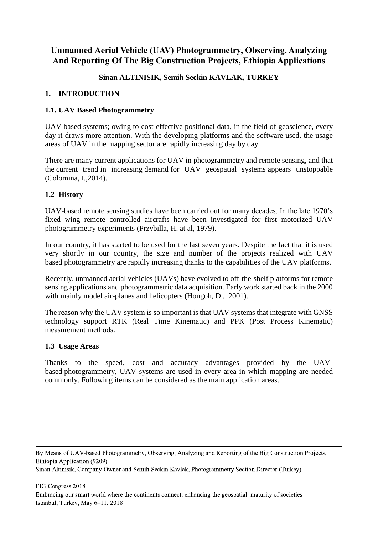# **Unmanned Aerial Vehicle (UAV) Photogrammetry, Observing, Analyzing And Reporting Of The Big Construction Projects, Ethiopia Applications**

## **Sinan ALTINISIK, Semih Seckin KAVLAK, TURKEY**

## **1. INTRODUCTION**

## **1.1. UAV Based Photogrammetry**

UAV based systems; owing to cost-effective positional data, in the field of geoscience, every day it draws more attention. With the developing platforms and the software used, the usage areas of UAV in the mapping sector are rapidly increasing day by day.

There are many current applications for UAV in photogrammetry and remote sensing, and that the current trend in increasing demand for UAV geospatial systems appears unstoppable (Colomina, I.,2014).

### **1.2 History**

UAV-based remote sensing studies have been carried out for many decades. In the late 1970's fixed wing remote controlled aircrafts have been investigated for first motorized UAV photogrammetry experiments (Przybilla, H. at al, 1979).

In our country, it has started to be used for the last seven years. Despite the fact that it is used very shortly in our country, the size and number of the projects realized with UAV based photogrammetry are rapidly increasing thanks to the capabilities of the UAV platforms.

Recently, unmanned aerial vehicles (UAVs) have evolved to off-the-shelf platforms for remote sensing applications and photogrammetric data acquisition. Early work started back in the 2000 with mainly model air-planes and helicopters (Hongoh, D., 2001).

The reason why the UAV system is so important is that UAV systems that integrate with GNSS technology support RTK (Real Time Kinematic) and PPK (Post Process Kinematic) measurement methods.

### **1.3 Usage Areas**

Thanks to the speed, cost and accuracy advantages provided by the UAVbased photogrammetry, UAV systems are used in every area in which mapping are needed commonly. Following items can be considered as the main application areas.

By Means of UAV-based Photogrammetry, Observing, Analyzing and Reporting of the Big Construction Projects, Ethiopia Application (9209)

Sinan Altinisik, Company Owner and Semih Seckin Kavlak, Photogrammetry Section Director (Turkey)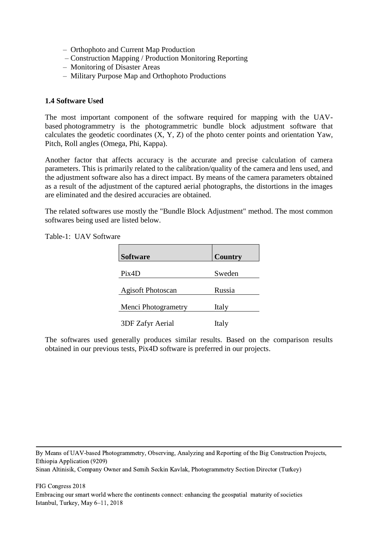- Orthophoto and Current Map Production
- Construction Mapping / Production Monitoring Reporting
- Monitoring of Disaster Areas
- Military Purpose Map and Orthophoto Productions

### **1.4 Software Used**

The most important component of the software required for mapping with the UAVbased photogrammetry is the photogrammetric bundle block adjustment software that calculates the geodetic coordinates (X, Y, Z) of the photo center points and orientation Yaw, Pitch, Roll angles (Omega, Phi, Kappa).

Another factor that affects accuracy is the accurate and precise calculation of camera parameters. This is primarily related to the calibration/quality of the camera and lens used, and the adjustment software also has a direct impact. By means of the camera parameters obtained as a result of the adjustment of the captured aerial photographs, the distortions in the images are eliminated and the desired accuracies are obtained.

The related softwares use mostly the "Bundle Block Adjustment" method. The most common softwares being used are listed below.

| <b>Software</b>          | <b>Country</b> |
|--------------------------|----------------|
| Pix4D                    | Sweden         |
| <b>Agisoft Photoscan</b> | Russia         |
| Menci Photogrametry      | Italy          |
| 3DF Zafyr Aerial         | Italy          |

Table-1: UAV Software

The softwares used generally produces similar results. Based on the comparison results obtained in our previous tests, Pix4D software is preferred in our projects.

By Means of UAV-based Photogrammetry, Observing, Analyzing and Reporting of the Big Construction Projects, Ethiopia Application (9209)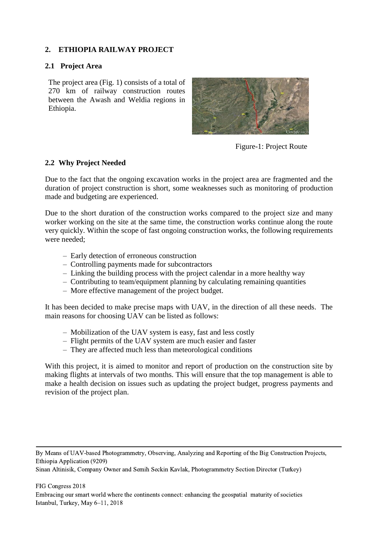## **2. ETHIOPIA RAILWAY PROJECT**

#### **2.1 Project Area**

The project area (Fig. 1) consists of a total of 270 km of railway construction routes between the Awash and Weldia regions in Ethiopia.



Figure-1: Project Route

#### **2.2 Why Project Needed**

Due to the fact that the ongoing excavation works in the project area are fragmented and the duration of project construction is short, some weaknesses such as monitoring of production made and budgeting are experienced.

Due to the short duration of the construction works compared to the project size and many worker working on the site at the same time, the construction works continue along the route very quickly. Within the scope of fast ongoing construction works, the following requirements were needed;

- Early detection of erroneous construction
- Controlling payments made for subcontractors
- Linking the building process with the project calendar in a more healthy way
- Contributing to team/equipment planning by calculating remaining quantities
- More effective management of the project budget.

It has been decided to make precise maps with UAV, in the direction of all these needs. The main reasons for choosing UAV can be listed as follows:

- Mobilization of the UAV system is easy, fast and less costly
- Flight permits of the UAV system are much easier and faster
- They are affected much less than meteorological conditions

With this project, it is aimed to monitor and report of production on the construction site by making flights at intervals of two months. This will ensure that the top management is able to make a health decision on issues such as updating the project budget, progress payments and revision of the project plan.

By Means of UAV-based Photogrammetry, Observing, Analyzing and Reporting of the Big Construction Projects, Ethiopia Application (9209)

Sinan Altinisik, Company Owner and Semih Seckin Kavlak, Photogrammetry Section Director (Turkey)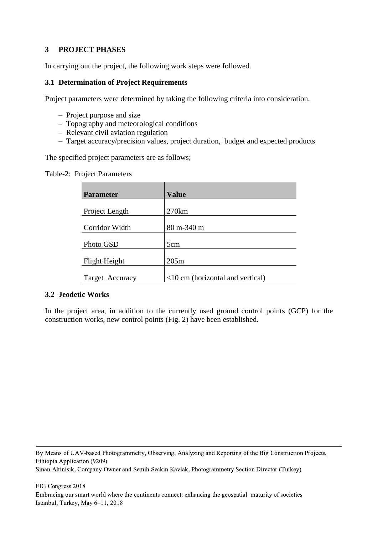## **3 PROJECT PHASES**

In carrying out the project, the following work steps were followed.

### **3.1 Determination of Project Requirements**

Project parameters were determined by taking the following criteria into consideration.

- Project purpose and size
- Topography and meteorological conditions
- Relevant civil aviation regulation
- Target accuracy/precision values, project duration, budget and expected products

The specified project parameters are as follows;

Table-2: Project Parameters

| <b>Parameter</b> | <b>Value</b>                       |
|------------------|------------------------------------|
| Project Length   | 270km                              |
|                  |                                    |
| Corridor Width   | 80 m-340 m                         |
|                  |                                    |
| Photo GSD        | 5cm                                |
| Flight Height    | 205m                               |
|                  |                                    |
| Target Accuracy  | $<10$ cm (horizontal and vertical) |

#### **3.2 Jeodetic Works**

In the project area, in addition to the currently used ground control points (GCP) for the construction works, new control points (Fig. 2) have been established.

By Means of UAV-based Photogrammetry, Observing, Analyzing and Reporting of the Big Construction Projects, Ethiopia Application (9209) Sinan Altinisik, Company Owner and Semih Seckin Kavlak, Photogrammetry Section Director (Turkey)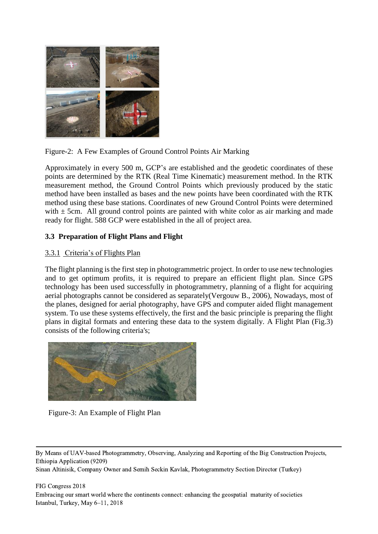

Figure-2: A Few Examples of Ground Control Points Air Marking

Approximately in every 500 m, GCP's are established and the geodetic coordinates of these points are determined by the RTK (Real Time Kinematic) measurement method. In the RTK measurement method, the Ground Control Points which previously produced by the static method have been installed as bases and the new points have been coordinated with the RTK method using these base stations. Coordinates of new Ground Control Points were determined with  $\pm$  5cm. All ground control points are painted with white color as air marking and made ready for flight. 588 GCP were established in the all of project area.

## **3.3 Preparation of Flight Plans and Flight**

### 3.3.1 Criteria's of Flights Plan

The flight planning is the first step in photogrammetric project. In order to use new technologies and to get optimum profits, it is required to prepare an efficient flight plan. Since GPS technology has been used successfully in photogrammetry, planning of a flight for acquiring aerial photographs cannot be considered as separately(Vergouw B., 2006), Nowadays, most of the planes, designed for aerial photography, have GPS and computer aided flight management system. To use these systems effectively, the first and the basic principle is preparing the flight plans in digital formats and entering these data to the system digitally. A Flight Plan (Fig.3) consists of the following criteria's;



Figure-3: An Example of Flight Plan

By Means of UAV-based Photogrammetry, Observing, Analyzing and Reporting of the Big Construction Projects, Ethiopia Application (9209)

Sinan Altinisik, Company Owner and Semih Seckin Kavlak, Photogrammetry Section Director (Turkey)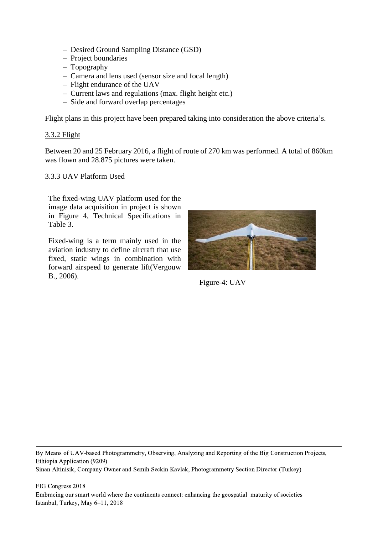- Desired Ground Sampling Distance (GSD)
- Project boundaries
- Topography
- Camera and lens used (sensor size and focal length)
- Flight endurance of the UAV
- Current laws and regulations (max. flight height etc.)
- Side and forward overlap percentages

Flight plans in this project have been prepared taking into consideration the above criteria's.

#### 3.3.2 Flight

Between 20 and 25 February 2016, a flight of route of 270 km was performed. A total of 860km was flown and 28.875 pictures were taken.

#### 3.3.3 UAV Platform Used

The fixed-wing UAV platform used for the image data acquisition in project is shown in Figure 4, Technical Specifications in Table 3.

Fixed-wing is a term mainly used in the aviation industry to define aircraft that use fixed, static wings in combination with forward airspeed to generate lift(Vergouw B., 2006).



Figure-4: UAV

By Means of UAV-based Photogrammetry, Observing, Analyzing and Reporting of the Big Construction Projects, Ethiopia Application (9209) Sinan Altinisik, Company Owner and Semih Seckin Kavlak, Photogrammetry Section Director (Turkey)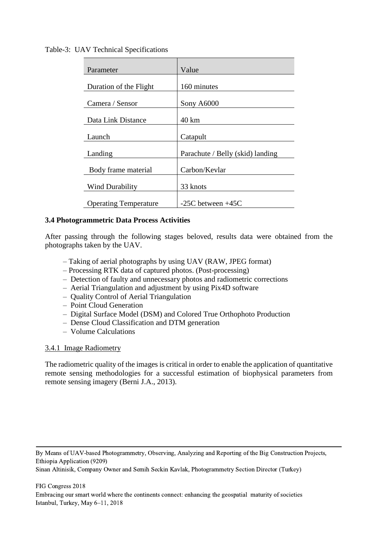Table-3: UAV Technical Specifications

| Parameter                    | Value                            |
|------------------------------|----------------------------------|
|                              |                                  |
| Duration of the Flight       | 160 minutes                      |
|                              |                                  |
| Camera / Sensor              | Sony A6000                       |
|                              |                                  |
| Data Link Distance           | $40 \mathrm{km}$                 |
|                              |                                  |
| Launch                       | Catapult                         |
|                              |                                  |
| Landing                      | Parachute / Belly (skid) landing |
|                              |                                  |
| Body frame material          | Carbon/Kevlar                    |
|                              |                                  |
| Wind Durability              | 33 knots                         |
|                              |                                  |
| <b>Operating Temperature</b> | $-25C$ between $+45C$            |

## **3.4 Photogrammetric Data Process Activities**

After passing through the following stages beloved, results data were obtained from the photographs taken by the UAV.

- Taking of aerial photographs by using UAV (RAW, JPEG format)
- Processing RTK data of captured photos. (Post-processing)
- Detection of faulty and unnecessary photos and radiometric corrections
- Aerial Triangulation and adjustment by using Pix4D software
- Quality Control of Aerial Triangulation
- Point Cloud Generation
- Digital Surface Model (DSM) and Colored True Orthophoto Production
- Dense Cloud Classification and DTM generation
- Volume Calculations

### 3.4.1 Image Radiometry

The radiometric quality of the images is critical in order to enable the application of quantitative remote sensing methodologies for a successful estimation of biophysical parameters from remote sensing imagery (Berni J.A., 2013).

By Means of UAV-based Photogrammetry, Observing, Analyzing and Reporting of the Big Construction Projects, Ethiopia Application (9209)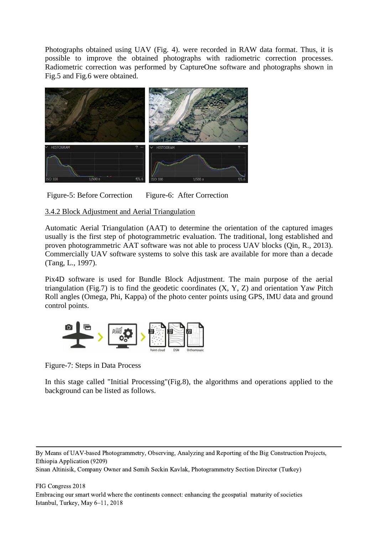Photographs obtained using UAV (Fig. 4). were recorded in RAW data format. Thus, it is possible to improve the obtained photographs with radiometric correction processes. Radiometric correction was performed by CaptureOne software and photographs shown in Fig.5 and Fig.6 were obtained.



Figure-5: Before Correction Figure-6: After Correction

## 3.4.2 Block Adjustment and Aerial Triangulation

Automatic Aerial Triangulation (AAT) to determine the orientation of the captured images usually is the first step of photogrammetric evaluation. The traditional, long established and proven photogrammetric AAT software was not able to process UAV blocks (Qin, R., 2013). Commercially UAV software systems to solve this task are available for more than a decade (Tang, L., 1997).

Pix4D software is used for Bundle Block Adjustment. The main purpose of the aerial triangulation (Fig.7) is to find the geodetic coordinates  $(X, Y, Z)$  and orientation Yaw Pitch Roll angles (Omega, Phi, Kappa) of the photo center points using GPS, IMU data and ground control points.



Figure-7: Steps in Data Process

In this stage called "Initial Processing"(Fig.8), the algorithms and operations applied to the background can be listed as follows.

By Means of UAV-based Photogrammetry, Observing, Analyzing and Reporting of the Big Construction Projects, Ethiopia Application (9209)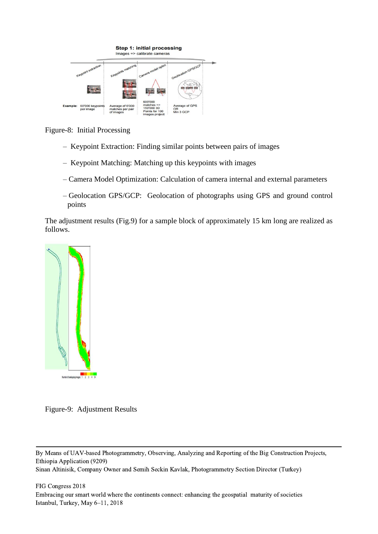

Figure-8: Initial Processing

- Keypoint Extraction: Finding similar points between pairs of images
- Keypoint Matching: Matching up this keypoints with images
- Camera Model Optimization: Calculation of camera internal and external parameters
- Geolocation GPS/GCP: Geolocation of photographs using GPS and ground control points

The adjustment results (Fig.9) for a sample block of approximately 15 km long are realized as follows.



Figure-9: Adjustment Results

By Means of UAV-based Photogrammetry, Observing, Analyzing and Reporting of the Big Construction Projects, Ethiopia Application (9209)

Sinan Altinisik, Company Owner and Semih Seckin Kavlak, Photogrammetry Section Director (Turkey)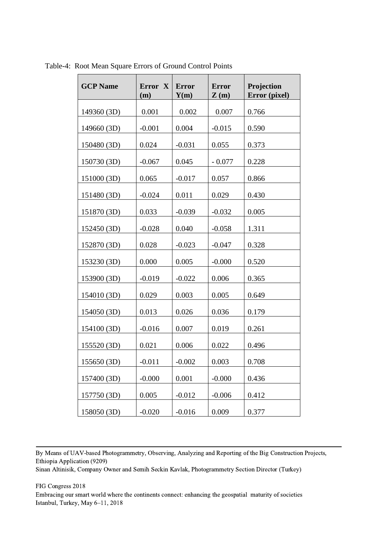| <b>GCP Name</b> | Error X<br>(m) | <b>Error</b><br>Y(m) | <b>Error</b><br>$\mathbf{Z}(\mathbf{m})$ | Projection<br>Error (pixel) |
|-----------------|----------------|----------------------|------------------------------------------|-----------------------------|
| 149360 (3D)     | 0.001          | 0.002                | 0.007                                    | 0.766                       |
| 149660 (3D)     | $-0.001$       | 0.004                | $-0.015$                                 | 0.590                       |
| 150480 (3D)     | 0.024          | $-0.031$             | 0.055                                    | 0.373                       |
| 150730 (3D)     | $-0.067$       | 0.045                | $-0.077$                                 | 0.228                       |
| 151000 (3D)     | 0.065          | $-0.017$             | 0.057                                    | 0.866                       |
| 151480 (3D)     | $-0.024$       | 0.011                | 0.029                                    | 0.430                       |
| 151870 (3D)     | 0.033          | $-0.039$             | $-0.032$                                 | 0.005                       |
| 152450 (3D)     | $-0.028$       | 0.040                | $-0.058$                                 | 1.311                       |
| 152870 (3D)     | 0.028          | $-0.023$             | $-0.047$                                 | 0.328                       |
| 153230 (3D)     | 0.000          | 0.005                | $-0.000$                                 | 0.520                       |
| 153900 (3D)     | $-0.019$       | $-0.022$             | 0.006                                    | 0.365                       |
| 154010 (3D)     | 0.029          | 0.003                | 0.005                                    | 0.649                       |
| 154050 (3D)     | 0.013          | 0.026                | 0.036                                    | 0.179                       |
| 154100 (3D)     | $-0.016$       | 0.007                | 0.019                                    | 0.261                       |
| 155520 (3D)     | 0.021          | 0.006                | 0.022                                    | 0.496                       |
| 155650 (3D)     | $-0.011$       | $-0.002$             | 0.003                                    | 0.708                       |
| 157400 (3D)     | $-0.000$       | 0.001                | $-0.000$                                 | 0.436                       |
| 157750 (3D)     | 0.005          | $-0.012$             | $-0.006$                                 | 0.412                       |
| 158050 (3D)     | $-0.020$       | $-0.016$             | 0.009                                    | 0.377                       |

Table-4: Root Mean Square Errors of Ground Control Points

By Means of UAV-based Photogrammetry, Observing, Analyzing and Reporting of the Big Construction Projects, Ethiopia Application (9209)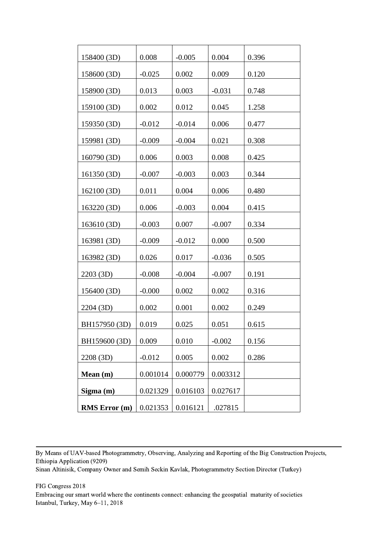| 158400 (3D)          | 0.008    | $-0.005$ | 0.004    | 0.396 |
|----------------------|----------|----------|----------|-------|
| 158600 (3D)          | $-0.025$ | 0.002    | 0.009    | 0.120 |
| 158900 (3D)          | 0.013    | 0.003    | $-0.031$ | 0.748 |
| 159100 (3D)          | 0.002    | 0.012    | 0.045    | 1.258 |
| 159350 (3D)          | $-0.012$ | $-0.014$ | 0.006    | 0.477 |
| 159981 (3D)          | $-0.009$ | $-0.004$ | 0.021    | 0.308 |
| 160790 (3D)          | 0.006    | 0.003    | 0.008    | 0.425 |
| 161350 (3D)          | $-0.007$ | $-0.003$ | 0.003    | 0.344 |
| 162100 (3D)          | 0.011    | 0.004    | 0.006    | 0.480 |
| 163220 (3D)          | 0.006    | $-0.003$ | 0.004    | 0.415 |
| 163610 (3D)          | $-0.003$ | 0.007    | $-0.007$ | 0.334 |
| 163981 (3D)          | $-0.009$ | $-0.012$ | 0.000    | 0.500 |
| 163982 (3D)          | 0.026    | 0.017    | $-0.036$ | 0.505 |
| 2203 (3D)            | $-0.008$ | $-0.004$ | $-0.007$ | 0.191 |
| 156400 (3D)          | $-0.000$ | 0.002    | 0.002    | 0.316 |
| 2204 (3D)            | 0.002    | 0.001    | 0.002    | 0.249 |
| BH157950 (3D)        | 0.019    | 0.025    | 0.051    | 0.615 |
| BH159600 (3D)        | 0.009    | 0.010    | $-0.002$ | 0.156 |
| 2208 (3D)            | $-0.012$ | 0.005    | 0.002    | 0.286 |
| Mean (m)             | 0.001014 | 0.000779 | 0.003312 |       |
| Sigma(m)             | 0.021329 | 0.016103 | 0.027617 |       |
| <b>RMS</b> Error (m) | 0.021353 | 0.016121 | .027815  |       |

By Means of UAV-based Photogrammetry, Observing, Analyzing and Reporting of the Big Construction Projects, Ethiopia Application (9209)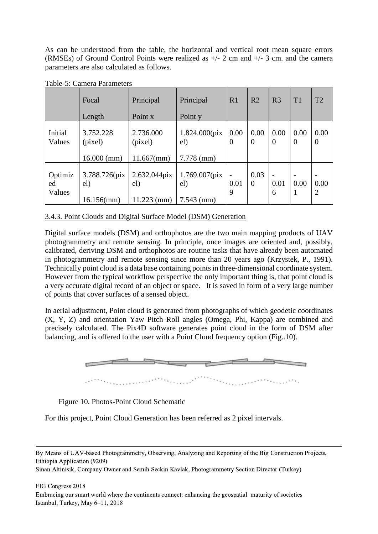As can be understood from the table, the horizontal and vertical root mean square errors (RMSEs) of Ground Control Points were realized as +/- 2 cm and +/- 3 cm. and the camera parameters are also calculated as follows.

|                         | Focal<br>Length                        | Principal<br>Point x                 | Principal<br>Point y                    | R1                                    | R <sub>2</sub>         | R <sub>3</sub>                        | T1               | T2                     |
|-------------------------|----------------------------------------|--------------------------------------|-----------------------------------------|---------------------------------------|------------------------|---------------------------------------|------------------|------------------------|
|                         |                                        |                                      |                                         |                                       |                        |                                       |                  |                        |
| Initial<br>Values       | 3.752.228<br>(pixel)                   | 2.736.000<br>(pixel)                 | $1.824.000$ (pix<br>el)                 | 0.00<br>$\Omega$                      | 0.00<br>$\theta$       | 0.00<br>$\overline{0}$                | 0.00<br>$\theta$ | 0.00<br>$\overline{0}$ |
|                         | $16.000$ (mm)                          | $11.667$ (mm)                        | $7.778$ (mm)                            |                                       |                        |                                       |                  |                        |
| Optimiz<br>ed<br>Values | 3.788.726(pix)<br>el)<br>$16.156$ (mm) | 2.632.044pix<br>el)<br>$11.223$ (mm) | $1.769.007$ (pix<br>el)<br>$7.543$ (mm) | $\overline{\phantom{a}}$<br>0.01<br>9 | 0.03<br>$\overline{0}$ | $\overline{\phantom{a}}$<br>0.01<br>6 | 0.00<br>1        | 0.00<br>$\overline{2}$ |

#### Table-5: Camera Parameters

#### 3.4.3. Point Clouds and Digital Surface Model (DSM) Generation

Digital surface models (DSM) and orthophotos are the two main mapping products of UAV photogrammetry and remote sensing. In principle, once images are oriented and, possibly, calibrated, deriving DSM and orthophotos are routine tasks that have already been automated in photogrammetry and remote sensing since more than 20 years ago (Krzystek, P., 1991). Technically point cloud is a data base containing points in three-dimensional coordinate system. However from the typical workflow perspective the only important thing is, that point cloud is a very accurate digital record of an object or space. It is saved in form of a very large number of points that cover surfaces of a sensed object.

In aerial adjustment, Point cloud is generated from photographs of which geodetic coordinates (X, Y, Z) and orientation Yaw Pitch Roll angles (Omega, Phi, Kappa) are combined and precisely calculated. The Pix4D software generates point cloud in the form of DSM after balancing, and is offered to the user with a Point Cloud frequency option (Fig..10).



#### Figure 10. Photos-Point Cloud Schematic

For this project, Point Cloud Generation has been referred as 2 pixel intervals.

By Means of UAV-based Photogrammetry, Observing, Analyzing and Reporting of the Big Construction Projects, Ethiopia Application (9209)

Sinan Altinisik, Company Owner and Semih Seckin Kavlak, Photogrammetry Section Director (Turkey)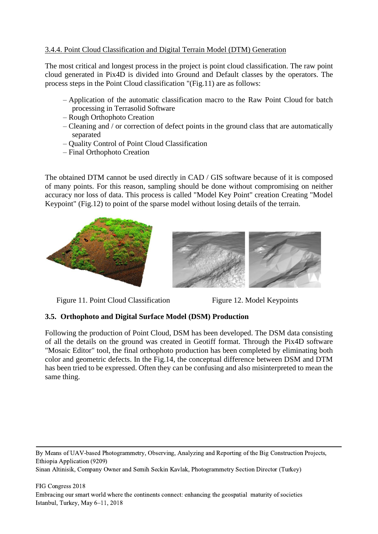## 3.4.4. Point Cloud Classification and Digital Terrain Model (DTM) Generation

The most critical and longest process in the project is point cloud classification. The raw point cloud generated in Pix4D is divided into Ground and Default classes by the operators. The process steps in the Point Cloud classification "(Fig.11) are as follows:

- Application of the automatic classification macro to the Raw Point Cloud for batch processing in Terrasolid Software
- Rough Orthophoto Creation
- Cleaning and / or correction of defect points in the ground class that are automatically separated
- Quality Control of Point Cloud Classification
- Final Orthophoto Creation

The obtained DTM cannot be used directly in CAD / GIS software because of it is composed of many points. For this reason, sampling should be done without compromising on neither accuracy nor loss of data. This process is called "Model Key Point" creation Creating "Model Keypoint" (Fig.12) to point of the sparse model without losing details of the terrain.





Figure 11. Point Cloud Classification Figure 12. Model Keypoints

### **3.5. Orthophoto and Digital Surface Model (DSM) Production**

Following the production of Point Cloud, DSM has been developed. The DSM data consisting of all the details on the ground was created in Geotiff format. Through the Pix4D software "Mosaic Editor" tool, the final orthophoto production has been completed by eliminating both color and geometric defects. In the Fig.14, the conceptual difference between DSM and DTM has been tried to be expressed. Often they can be confusing and also misinterpreted to mean the same thing.

By Means of UAV-based Photogrammetry, Observing, Analyzing and Reporting of the Big Construction Projects, Ethiopia Application (9209) Sinan Altinisik, Company Owner and Semih Seckin Kavlak, Photogrammetry Section Director (Turkey)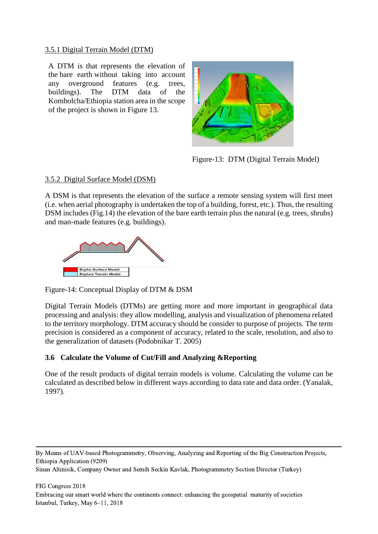## 3.5.1 Digital Terrain Model (DTM)

A DTM is that represents the elevation of the bare earth without taking into account any overground features (e.g. trees, buildings). The DTM data of the Kombolcha/Ethiopia station area in the scope of the project is shown in Figure 13.



Figure-13: DTM (Digital Terrain Model)

### 3.5.2 Digital Surface Model (DSM)

A DSM is that represents the elevation of the surface a remote sensing system will first meet (i.e. when aerial photography is undertaken the top of a building, forest, etc.). Thus, the resulting DSM includes (Fig.14) the elevation of the bare earth terrain plus the natural (e.g. trees, shrubs) and man-made features (e.g. buildings).



Figure-14: Conceptual Display of DTM & DSM

Digital Terrain Models (DTMs) are getting more and more important in geographical data processing and analysis: they allow modelling, analysis and visualization of phenomena related to the territory morphology. DTM accuracy should be consider to purpose of projects. The term precision is considered as a component of accuracy, related to the scale, resolution, and also to the generalization of datasets (Podobnikar T. 2005)

## **3.6 Calculate the Volume of Cut/Fill and Analyzing &Reporting**

One of the result products of digital terrain models is volume. Calculating the volume can be calculated as described below in different ways according to data rate and data order. (Yanalak, 1997).

By Means of UAV-based Photogrammetry, Observing, Analyzing and Reporting of the Big Construction Projects, Ethiopia Application (9209)

```
Sinan Altinisik, Company Owner and Semih Seckin Kavlak, Photogrammetry Section Director (Turkey)
```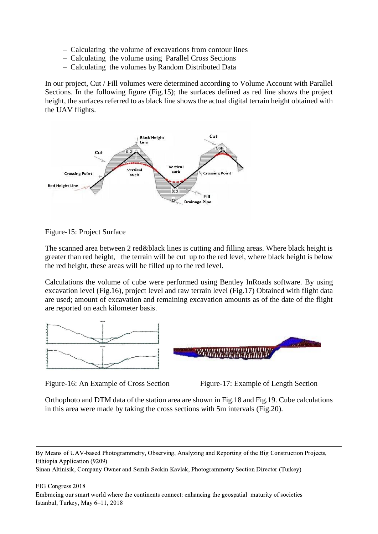- Calculating the volume of excavations from contour lines
- Calculating the volume using Parallel Cross Sections
- Calculating the volumes by Random Distributed Data

In our project, Cut / Fill volumes were determined according to Volume Account with Parallel Sections. In the following figure (Fig.15); the surfaces defined as red line shows the project height, the surfaces referred to as black line shows the actual digital terrain height obtained with the UAV flights.



Figure-15: Project Surface

The scanned area between 2 red&black lines is cutting and filling areas. Where black height is greater than red height, the terrain will be cut up to the red level, where black height is below the red height, these areas will be filled up to the red level.

Calculations the volume of cube were performed using Bentley InRoads software. By using excavation level (Fig.16), project level and raw terrain level (Fig.17) Obtained with flight data are used; amount of excavation and remaining excavation amounts as of the date of the flight are reported on each kilometer basis.



Figure-16: An Example of Cross Section Figure-17: Example of Length Section



Orthophoto and DTM data of the station area are shown in Fig.18 and Fig.19. Cube calculations in this area were made by taking the cross sections with 5m intervals (Fig.20).

By Means of UAV-based Photogrammetry, Observing, Analyzing and Reporting of the Big Construction Projects, Ethiopia Application (9209)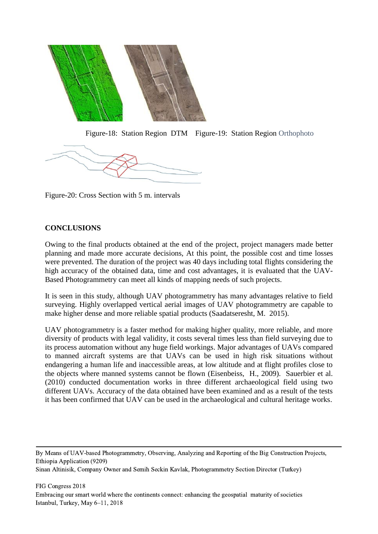

Figure-18: Station Region DTM Figure-19: Station Region Orthophoto



Figure-20: Cross Section with 5 m. intervals

## **CONCLUSIONS**

Owing to the final products obtained at the end of the project, project managers made better planning and made more accurate decisions, At this point, the possible cost and time losses were prevented. The duration of the project was 40 days including total flights considering the high accuracy of the obtained data, time and cost advantages, it is evaluated that the UAV-Based Photogrammetry can meet all kinds of mapping needs of such projects.

It is seen in this study, although UAV photogrammetry has many advantages relative to field surveying. Highly overlapped vertical aerial images of UAV photogrammetry are capable to make higher dense and more reliable spatial products (Saadatseresht, M. 2015).

UAV photogrammetry is a faster method for making higher quality, more reliable, and more diversity of products with legal validity, it costs several times less than field surveying due to its process automation without any huge field workings. Major advantages of UAVs compared to manned aircraft systems are that UAVs can be used in high risk situations without endangering a human life and inaccessible areas, at low altitude and at flight profiles close to the objects where manned systems cannot be flown (Eisenbeiss, H., 2009). Sauerbier et al. (2010) conducted documentation works in three different archaeological field using two different UAVs. Accuracy of the data obtained have been examined and as a result of the tests it has been confirmed that UAV can be used in the archaeological and cultural heritage works.

By Means of UAV-based Photogrammetry, Observing, Analyzing and Reporting of the Big Construction Projects, Ethiopia Application (9209)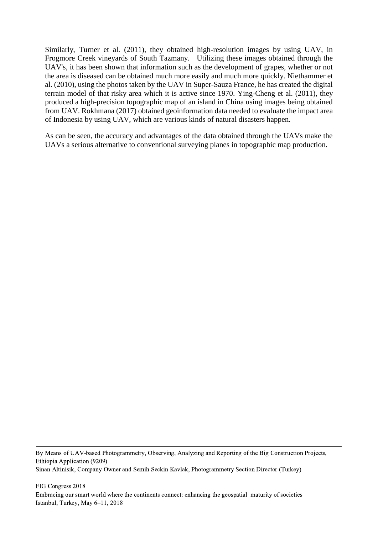Similarly, Turner et al. (2011), they obtained high-resolution images by using UAV, in Frogmore Creek vineyards of South Tazmany. Utilizing these images obtained through the UAV's, it has been shown that information such as the development of grapes, whether or not the area is diseased can be obtained much more easily and much more quickly. Niethammer et al. (2010), using the photos taken by the UAV in Super-Sauza France, he has created the digital terrain model of that risky area which it is active since 1970. Ying-Cheng et al. (2011), they produced a high-precision topographic map of an island in China using images being obtained from UAV. Rokhmana (2017) obtained geoinformation data needed to evaluate the impact area of Indonesia by using UAV, which are various kinds of natural disasters happen.

As can be seen, the accuracy and advantages of the data obtained through the UAVs make the UAVs a serious alternative to conventional surveying planes in topographic map production.

By Means of UAV-based Photogrammetry, Observing, Analyzing and Reporting of the Big Construction Projects, Ethiopia Application (9209) Sinan Altinisik, Company Owner and Semih Seckin Kavlak, Photogrammetry Section Director (Turkey)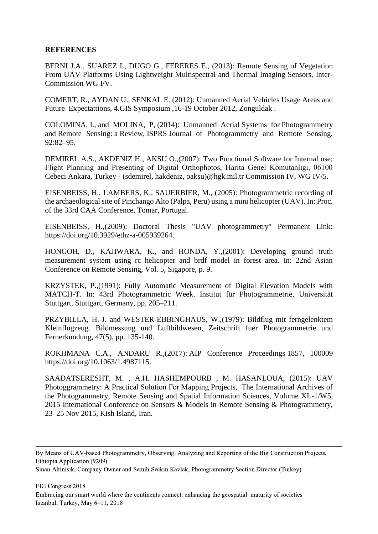#### **REFERENCES**

BERNI J.A., SUAREZ L, DUGO G., FERERES E., (2013): Remote Sensing of Vegetation From UAV Platforms Using Lightweight Multispectral and Thermal Imaging Sensors, Inter-Commission WG I/V.

COMERT, R., AYDAN U., SENKAL E. (2012): Unmanned Aerial Vehicles Usage Areas and Future Expectattions, 4.GIS Symposium ,16-19 October 2012, Zonguldak .

COLOMINA, I., and MOLINA, P, (2014): Unmanned Aerial Systems for Photogrammetry and Remote Sensing: a Review, ISPRS Journal of Photogrammetry and Remote Sensing, 92:82–95.

DEMIREL A.S., AKDENIZ H., AKSU O.,(2007): Two Functional Software for Internal use; Flight Planning and Presenting of Digital Orthophotos, Harita Genel Komutanlıgı, 06100 Cebeci Ankara, Turkey - (sdemirel, hakdeniz, oaksu)@hgk.mil.tr Commission IV, WG IV/5.

EISENBEISS, H., LAMBERS, K., SAUERBIER, M., (2005): Photogrammetric recording of the archaeological site of Pinchango Alto (Palpa, Peru) using a mini helicopter (UAV). In: Proc. of the 33rd CAA Conference, Tomar, Portugal.

EISENBEISS, H.,(2009): Doctoral Thesis "UAV photogrammetry" Permanent Link: [https://doi.org/10.3929/ethz-a-005939264.](https://doi.org/10.3929/ethz-a-005939264)

HONGOH, D., KAJIWARA, K., and HONDA, Y.,(2001): Developing ground truth measurement system using rc helicopter and brdf model in forest area. In: 22nd Asian Conference on Remote Sensing, Vol. 5, Sigapore, p. 9.

KRZYSTEK, P.,(1991): Fully Automatic Measurement of Digital Elevation Models with MATCH-T. In: 43rd Photogrammetric Week. Institut für Photogrammetrie, Universität Stuttgart, Stuttgart, Germany, pp. 205–211.

PRZYBILLA, H.-J. and WESTER-EBBINGHAUS, W.,(1979): Bildflug mit ferngelenktem Kleinflugzeug. Bildmessung und Luftbildwesen, Zeitschrift fuer Photogrammetrie und Fernerkundung, 47(5), pp. 135-140.

ROKHMANA C.A., ANDARU R.,(2017): [AIP Conference Proceedings](http://aip.scitation.org/journal/apc) 1857, 100009 [https://doi.org/10.1063/1.4987115.](https://doi.org/10.1063/1.4987115)

SAADATSERESHT, M. , A.H. HASHEMPOURB , M. HASANLOUA, (2015): UAV Photoggrammetry: A Practical Solution For Mapping Projects, The International Archives of the Photogrammetry, Remote Sensing and Spatial Information Sciences, Volume XL-1/W5, 2015 International Conference on Sensors & Models in Remote Sensing & Photogrammetry, 23–25 Nov 2015, Kish Island, Iran.

By Means of UAV-based Photogrammetry, Observing, Analyzing and Reporting of the Big Construction Projects, Ethiopia Application (9209)

Sinan Altinisik, Company Owner and Semih Seckin Kavlak, Photogrammetry Section Director (Turkey)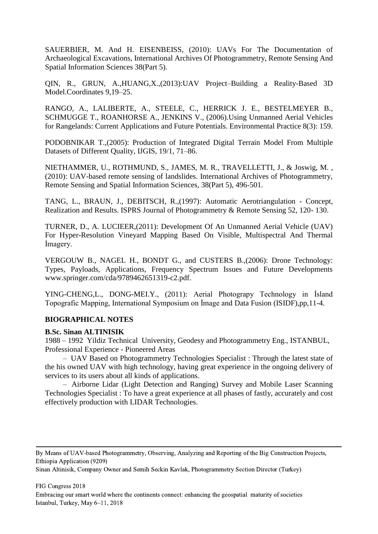SAUERBIER, M. And H. EISENBEISS, (2010): UAVs For The Documentation of Archaeological Excavations, International Archives Of Photogrammetry, Remote Sensing And Spatial Information Sciences 38(Part 5).

QIN, R., GRUN, A.,HUANG,X.,(2013):UAV Project–Building a Reality-Based 3D Model.Coordinates 9,19–25.

RANGO, A., LALIBERTE, A., STEELE, C., HERRICK J. E., BESTELMEYER B., SCHMUGGE T., ROANHORSE A., JENKINS V., (2006).Using Unmanned Aerial Vehicles for Rangelands: Current Applications and Future Potentials. Environmental Practice 8(3): 159.

PODOBNIKAR T.,(2005): Production of Integrated Digital Terrain Model From Multiple Datasets of Different Quality, IJGIS, 19/1, 71–86.

NIETHAMMER, U., ROTHMUND, S., JAMES, M. R., TRAVELLETTI, J., & Joswig, M. , (2010): UAV-based remote sensing of landslides. International Archives of Photogrammetry, Remote Sensing and Spatial Information Sciences, 38(Part 5), 496-501.

TANG, L., BRAUN, J., DEBITSCH, R.,(1997): Automatic Aerotriangulation - Concept, Realization and Results. ISPRS Journal of Photogrammetry & Remote Sensing 52, 120- 130.

TURNER, D., A. LUCIEER,(2011): Development Of An Unmanned Aerial Vehicle (UAV) For Hyper-Resolution Vineyard Mapping Based On Visible, Multispectral And Thermal İmagery.

VERGOUW B., NAGEL H., BONDT G., and CUSTERS B.,(2006): Drone Technology: Types, Payloads, Applications, Frequency Spectrum Issues and Future Developments [www.springer.com/cda/9789462651319-c2.pdf.](http://www.springer.com/cda/9789462651319-c2.pdf)

YING-CHENG,L., DONG-MEI.Y., (2011): Aerial Photograpy Technology in İsland Topografic Mapping, International Symposium on İmage and Data Fusion (ISIDF),pp,11-4.

### **BIOGRAPHICAL NOTES**

#### **B.Sc. Sinan ALTINISIK**

1988 – 1992 Yildiz Technical University, Geodesy and Photogrammetry Eng., ISTANBUL, Professional Experience - Pioneered Areas

– UAV Based on Photogrammetry Technologies Specialist : Through the latest state of the his owned UAV with high technology, having great experience in the ongoing delivery of services to its users about all kinds of applications.

– Airborne Lidar (Light Detection and Ranging) Survey and Mobile Laser Scanning Technologies Specialist : To have a great experience at all phases of fastly, accurately and cost effectively production with LIDAR Technologies.

By Means of UAV-based Photogrammetry, Observing, Analyzing and Reporting of the Big Construction Projects, Ethiopia Application (9209)

Sinan Altinisik, Company Owner and Semih Seckin Kavlak, Photogrammetry Section Director (Turkey)